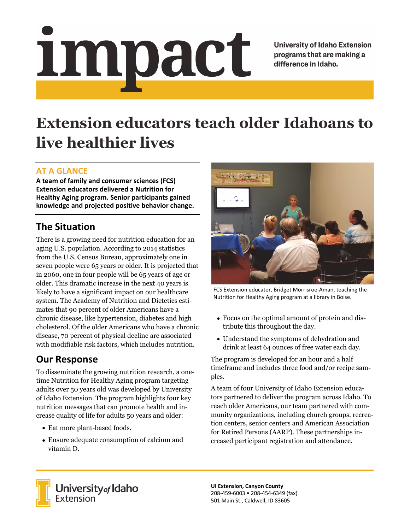# impact

**University of Idaho Extension** programs that are making a difference in Idaho.

# **Extension educators teach older Idahoans to live healthier lives**

### **AT A GLANCE**

**A team of family and consumer sciences (FCS) Extension educators delivered a Nutrition for Healthy Aging program. Senior participants gained knowledge and projected positive behavior change.** 

## **The Situation**

There is a growing need for nutrition education for an aging U.S. population. According to 2014 statistics from the U.S. Census Bureau, approximately one in seven people were 65 years or older. It is projected that in 2060, one in four people will be 65 years of age or older. This dramatic increase in the next 40 years is likely to have a significant impact on our healthcare system. The Academy of Nutrition and Dietetics estimates that 90 percent of older Americans have a chronic disease, like hypertension, diabetes and high cholesterol. Of the older Americans who have a chronic disease, 70 percent of physical decline are associated with modifiable risk factors, which includes nutrition.

### **Our Response**

To disseminate the growing nutrition research, a onetime Nutrition for Healthy Aging program targeting adults over 50 years old was developed by University of Idaho Extension. The program highlights four key nutrition messages that can promote health and increase quality of life for adults 50 years and older:

- Eat more plant-based foods.
- Ensure adequate consumption of calcium and vitamin D.



FCS Extension educator, Bridget Morrisroe‐Aman, teaching the Nutrition for Healthy Aging program at a library in Boise.

- Focus on the optimal amount of protein and distribute this throughout the day.
- Understand the symptoms of dehydration and drink at least 64 ounces of free water each day.

The program is developed for an hour and a half timeframe and includes three food and/or recipe samples.

A team of four University of Idaho Extension educators partnered to deliver the program across Idaho. To reach older Americans, our team partnered with community organizations, including church groups, recreation centers, senior centers and American Association for Retired Persons (AARP). These partnerships increased participant registration and attendance.



**University** of Idaho<br>Extension

**UI Extension, Canyon County**  208‐459‐6003 • 208‐454‐6349 (fax) 501 Main St., Caldwell, ID 83605